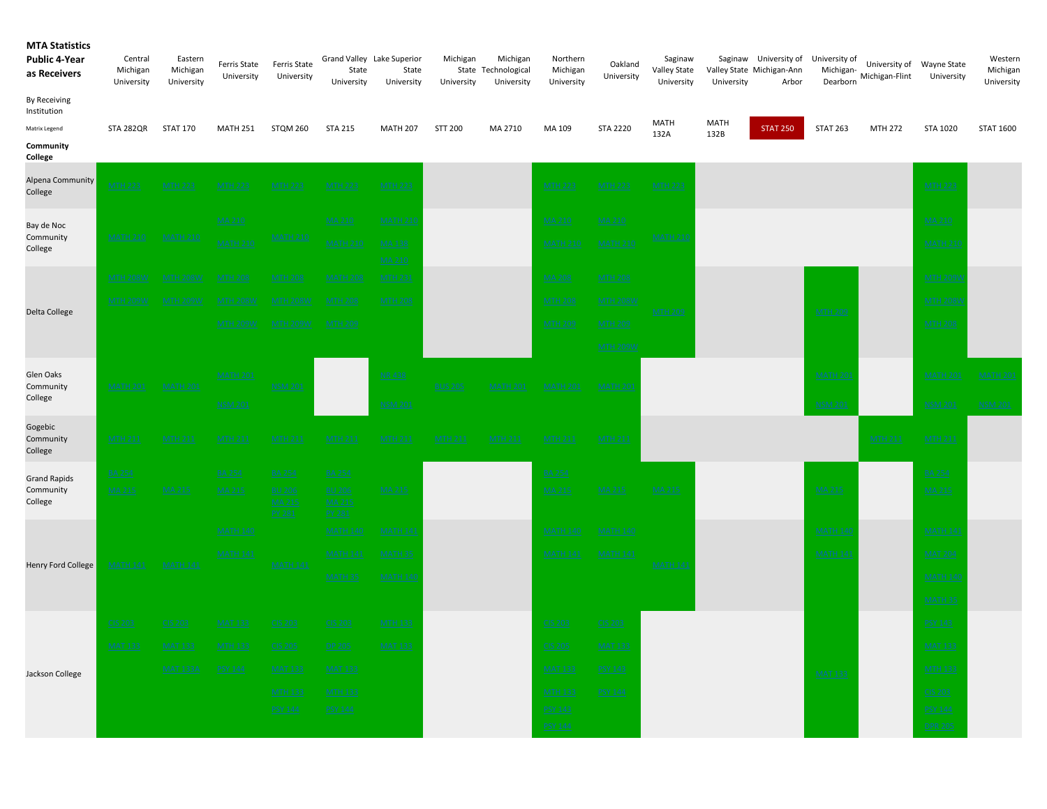| <b>MTA Statistics</b><br><b>Public 4-Year</b><br>as Receivers | Central<br>Michigan<br>University | Eastern<br>Michigan<br>University | Ferris State<br>University | Ferris State<br>University        | Grand Valley Lake Superior<br>State<br>University | State<br>University | Michigan<br>University | Michigan<br>State Technological<br>University | Northern<br>Michigan<br>University | Oakland<br>University | Saginaw<br>Valley State<br>University | University   | Saginaw University of University of<br>Valley State Michigan-Ann<br>Arbor | Michigan-<br>Dearborn | University of Wayne State<br>Michigan-Flint | University      | Western<br>Michigan<br>University |
|---------------------------------------------------------------|-----------------------------------|-----------------------------------|----------------------------|-----------------------------------|---------------------------------------------------|---------------------|------------------------|-----------------------------------------------|------------------------------------|-----------------------|---------------------------------------|--------------|---------------------------------------------------------------------------|-----------------------|---------------------------------------------|-----------------|-----------------------------------|
| By Receiving<br>Institution                                   |                                   |                                   |                            |                                   |                                                   |                     |                        |                                               |                                    |                       |                                       |              |                                                                           |                       |                                             |                 |                                   |
| Matrix Legend                                                 | STA 282QR                         | <b>STAT 170</b>                   | <b>MATH 251</b>            | STQM 260                          | <b>STA 215</b>                                    | <b>MATH 207</b>     | STT 200                | MA 2710                                       | MA 109                             | <b>STA 2220</b>       | <b>MATH</b><br>132A                   | MATH<br>132B | <b>STAT 250</b>                                                           | <b>STAT 263</b>       | <b>MTH 272</b>                              | STA 1020        | <b>STAT 1600</b>                  |
| Community<br>College                                          |                                   |                                   |                            |                                   |                                                   |                     |                        |                                               |                                    |                       |                                       |              |                                                                           |                       |                                             |                 |                                   |
| Alpena Community<br>College                                   | <u>MTH 223</u>                    | <u>MTH 223</u>                    | <u>MTH 223</u>             | <u>MTH 223</u>                    | <b>MTH 223</b>                                    | <b>MTH 223</b>      |                        |                                               | <b>MTH 223</b>                     | <b>MTH 223</b>        | <b>MTH 223</b>                        |              |                                                                           |                       |                                             | <b>MTH 223</b>  |                                   |
| Bay de Noc                                                    |                                   |                                   | MA 210                     |                                   | MA 210                                            | <u>MATH 210</u>     |                        |                                               | <b>MA 210</b>                      | <u>MA 210</u>         |                                       |              |                                                                           |                       |                                             | MA 210          |                                   |
| Community<br>College                                          | <b>MATH 210</b>                   | <b>MATH 210</b>                   | <u>MATH 210</u>            | <u>MATH 210</u>                   | <b>MATH 210</b>                                   | MA 138<br>MA 210    |                        |                                               | <b>MATH 210</b>                    | <b>MATH 210</b>       | <u>MATH 210</u>                       |              |                                                                           |                       |                                             | <b>MATH 21</b>  |                                   |
|                                                               | <b>MTH 208W</b>                   | <b>MTH 208W</b>                   | <b>MTH 208</b>             | <b>MTH 208</b>                    | <b>MATH 208</b>                                   | <u>MTH 231</u>      |                        |                                               | <b>MA 208</b>                      | <b>MTH 208</b>        |                                       |              |                                                                           |                       |                                             | <u>MTH 209V</u> |                                   |
|                                                               | <b>MTH 209W</b>                   | MTH 209W                          | <u>MTH 208W</u>            | <u>MTH 208W</u>                   | <b>MTH 208</b>                                    | <b>MTH 208</b>      |                        |                                               | <b>MTH 208</b>                     | <b>MTH 208W</b>       |                                       |              |                                                                           |                       |                                             | <b>MTH 208V</b> |                                   |
| Delta College                                                 |                                   |                                   | <b>MTH 209W</b>            | <u>MTH 209W</u>                   | <b>MTH 209</b>                                    |                     |                        |                                               | <b>MTH 209</b>                     | <b>MTH 209</b>        | <b>MTH 209</b>                        |              |                                                                           | <b>MTH 209</b>        |                                             | <b>MTH 208</b>  |                                   |
|                                                               |                                   |                                   |                            |                                   |                                                   |                     |                        |                                               |                                    |                       |                                       |              |                                                                           |                       |                                             |                 |                                   |
|                                                               |                                   |                                   |                            |                                   |                                                   |                     |                        |                                               |                                    | <b>MTH 209W</b>       |                                       |              |                                                                           |                       |                                             |                 |                                   |
| Glen Oaks<br>Community                                        | <b>MATH 201</b>                   | <b>MATH 201</b>                   | <u>MATH 201</u>            | <b>NSM 201</b>                    |                                                   | NR 438              | <b>BUS 205</b>         |                                               | <b>MATH 20:</b>                    | <b>MATH 20:</b>       |                                       |              |                                                                           | <b>MATH 20</b>        |                                             | MATH 201        | <b>MATH 201</b>                   |
| College                                                       |                                   |                                   | <b>NSM 201</b>             |                                   |                                                   | <b>NSM 201</b>      |                        | <b>MATH 201</b>                               |                                    |                       |                                       |              |                                                                           | <u>NSM 201</u>        |                                             | NSM 201         | <b>NSM 201</b>                    |
| Gogebic                                                       |                                   |                                   |                            |                                   |                                                   |                     |                        |                                               |                                    |                       |                                       |              |                                                                           |                       |                                             |                 |                                   |
| Community<br>College                                          | <b>MTH 211</b>                    | <u>MTH 211</u>                    | <u>MTH 211</u>             | <u>MTH 211</u>                    | <u>MTH 211</u>                                    | <b>MTH 211</b>      | <u>MTH 211</u>         | <b>MTH 211</b>                                | <b>MTH 211</b>                     | <b>MTH 211</b>        |                                       |              |                                                                           |                       | <b>MTH 211</b>                              | <b>MTH 211</b>  |                                   |
| <b>Grand Rapids</b>                                           | <b>BA 254</b>                     |                                   | <b>BA 254</b>              | <b>BA 254</b>                     | <b>BA 254</b>                                     |                     |                        |                                               | <b>BA 254</b>                      |                       |                                       |              |                                                                           |                       |                                             | <b>BA 254</b>   |                                   |
| Community<br>College                                          | <b>MA 215</b>                     | MA 215                            | <b>MA 215</b>              | <b>BU 206</b><br>MA 215<br>PY 281 | <b>BU 206</b><br><b>MA 215</b><br>PY 281          | <u>MA 215</u>       |                        |                                               | <b>MA 215</b>                      | MA 215                | <b>MA 215</b>                         |              |                                                                           | <u>MA 215</u>         |                                             | MA 215          |                                   |
|                                                               |                                   |                                   | <b>MATH 140</b>            |                                   | <b>MATH 140</b>                                   | <b>MATH 141</b>     |                        |                                               | <u>MATH 140</u>                    | <b>MATH 140</b>       |                                       |              |                                                                           | <b>MATH 140</b>       |                                             | <b>MATH 141</b> |                                   |
|                                                               |                                   |                                   | <u>MATH 141</u>            |                                   | <b>MATH 141</b>                                   | <u>MATH 35</u>      |                        |                                               | <b>MATH 141</b>                    | <b>MATH 141</b>       |                                       |              |                                                                           | <b>MATH 141</b>       |                                             | <b>MAT 204</b>  |                                   |
| Henry Ford College                                            | <b>MATH 141</b>                   | <b>MATH 141</b>                   |                            | <b>MATH 141</b>                   | <b>MATH 35</b>                                    | <u>MATH 140</u>     |                        |                                               |                                    |                       | <b>MATH 141</b>                       |              |                                                                           |                       |                                             | <b>MATH 140</b> |                                   |
|                                                               |                                   |                                   |                            |                                   |                                                   |                     |                        |                                               |                                    |                       |                                       |              |                                                                           |                       |                                             |                 |                                   |
|                                                               |                                   |                                   |                            |                                   |                                                   |                     |                        |                                               |                                    |                       |                                       |              |                                                                           |                       |                                             | <b>MATH 35</b>  |                                   |
|                                                               | CIS 203                           | CIS 203                           | <b>MAT 133</b>             | CIS 203                           | <b>CIS 203</b>                                    | <b>MTH 133</b>      |                        |                                               | <b>CIS 203</b>                     | CIS 203               |                                       |              |                                                                           |                       |                                             | <b>PSY 143</b>  |                                   |
|                                                               | MAT 133                           | <u>MAT 133</u>                    | <b>MTH 133</b>             | CIS 205                           | DP 205                                            | <b>MAT 133</b>      |                        |                                               | CIS 205                            | <b>MAT 133</b>        |                                       |              |                                                                           |                       |                                             | <b>MAT 133</b>  |                                   |
| Jackson College                                               |                                   | <b>MAT 133A</b>                   | PSY 144                    | <u>MAT 133</u>                    | MAT 133                                           |                     |                        |                                               | <u>MAT 133</u>                     | PSY 143               |                                       |              |                                                                           | <b>MAT 133</b>        |                                             | <b>MTH 133</b>  |                                   |
|                                                               |                                   |                                   |                            | <u>MTH 133</u>                    | MTH 133                                           |                     |                        |                                               | <b>MTH 133</b>                     | PSY 144               |                                       |              |                                                                           |                       |                                             | CIS 203         |                                   |
|                                                               |                                   |                                   |                            | PSY 144                           | PSY 144                                           |                     |                        |                                               | PSY 143                            |                       |                                       |              |                                                                           |                       |                                             | PSY 144         |                                   |
|                                                               |                                   |                                   |                            |                                   |                                                   |                     |                        |                                               | <b>PSY 144</b>                     |                       |                                       |              |                                                                           |                       |                                             | <b>DPR 205</b>  |                                   |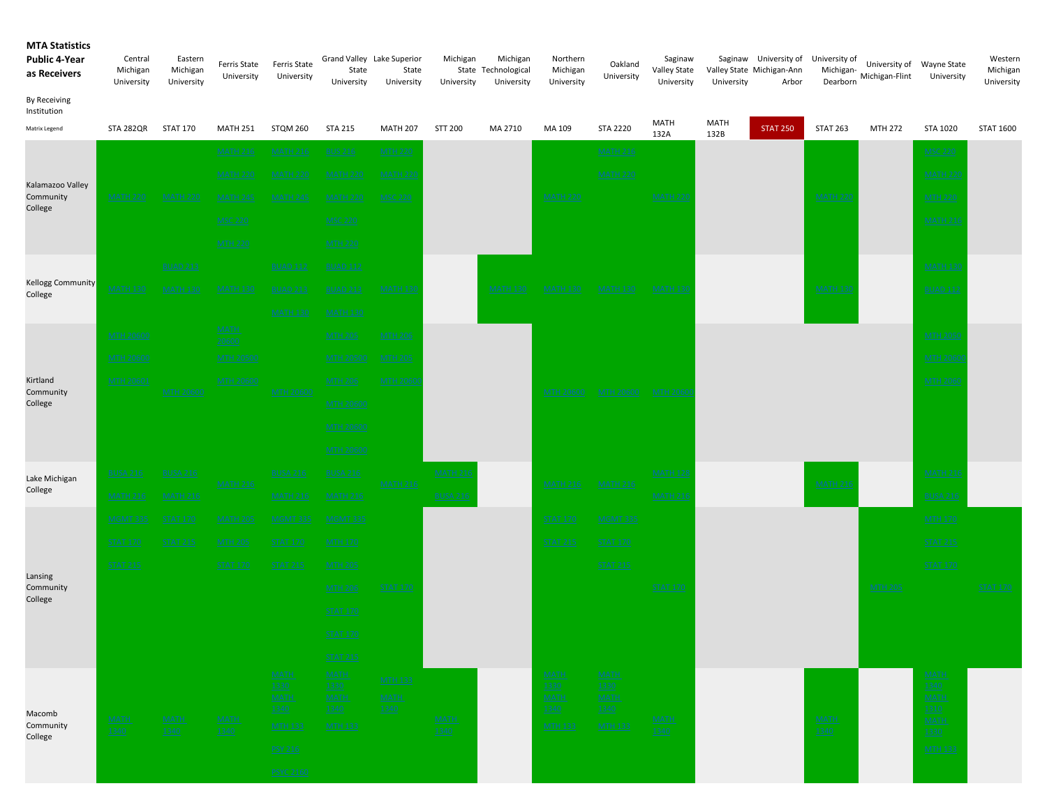| <b>MTA Statistics</b><br><b>Public 4-Year</b><br>as Receivers | Central<br>Michigan<br>University | Eastern<br>Michigan<br>University | Ferris State<br>University | Ferris State<br>University         | Grand Valley Lake Superior<br>State<br>University | State<br>University           | Michigan<br>University | Michigan<br>State Technological<br>University | Northern<br>Michigan<br>University | Oakland<br>University              | Saginaw<br>Valley State<br>University | University  | Saginaw University of University of<br>Valley State Michigan-Ann<br>Arbor | Michigan-<br>Dearborn | Michigan-Flint | University of Wayne State<br>University | Western<br>Michigan<br>University |
|---------------------------------------------------------------|-----------------------------------|-----------------------------------|----------------------------|------------------------------------|---------------------------------------------------|-------------------------------|------------------------|-----------------------------------------------|------------------------------------|------------------------------------|---------------------------------------|-------------|---------------------------------------------------------------------------|-----------------------|----------------|-----------------------------------------|-----------------------------------|
| By Receiving<br>Institution<br>Matrix Legend                  | STA 282QR                         | <b>STAT 170</b>                   | <b>MATH 251</b>            | <b>STQM 260</b>                    | <b>STA 215</b>                                    | <b>MATH 207</b>               | STT 200                | MA 2710                                       | MA 109                             | <b>STA 2220</b>                    | <b>MATH</b>                           | <b>MATH</b> | <b>STAT 250</b>                                                           | <b>STAT 263</b>       | MTH 272        | STA 1020                                | <b>STAT 1600</b>                  |
|                                                               |                                   |                                   | <b>MATH 216</b>            | <b>MATH 216</b>                    | <b>BUS 216</b>                                    | <b>MTH 220</b>                |                        |                                               |                                    | <b>MATH 216</b>                    | 132A                                  | 132B        |                                                                           |                       |                | <u>MSC 220</u>                          |                                   |
|                                                               |                                   |                                   | <b>MATH 220</b>            | <u>MATH 220</u>                    | <b>MATH 220</b>                                   | <b>MATH 22</b>                |                        |                                               |                                    | <b>MATH 220</b>                    |                                       |             |                                                                           |                       |                | <b>MATH 220</b>                         |                                   |
| Kalamazoo Valley<br>Community                                 | <b>MATH 220</b>                   | <b>MATH 220</b>                   | <u>MATH 245</u>            | <u>MATH 245</u>                    | <b>MATH 220</b>                                   | MSC 220                       |                        |                                               | <b>MATH 220</b>                    |                                    | <b>MATH 220</b>                       |             |                                                                           | <b>MATH 22</b>        |                | <b>MTH 220</b>                          |                                   |
| College                                                       |                                   |                                   | <b>MSC 220</b>             |                                    | <b>MSC 220</b>                                    |                               |                        |                                               |                                    |                                    |                                       |             |                                                                           |                       |                | <b>MATH 216</b>                         |                                   |
|                                                               |                                   |                                   | <b>MTH 220</b>             |                                    | <b>MTH 220</b>                                    |                               |                        |                                               |                                    |                                    |                                       |             |                                                                           |                       |                |                                         |                                   |
|                                                               |                                   | <b>BUAD 213</b>                   |                            | <b>BUAD 112</b>                    | <b>BUAD 112</b>                                   |                               |                        |                                               |                                    |                                    |                                       |             |                                                                           |                       |                | <b>MATH 130</b>                         |                                   |
| Kellogg Community<br>College                                  | <u>MATH 130</u>                   | MATH 130                          | <u>MATH 130</u>            | <b>BUAD 213</b>                    | <b>BUAD 213</b>                                   | <u>MATH 130</u>               |                        | <b>MATH 130</b>                               | <u>МАТН 130</u>                    | <u>MATH 130</u>                    | <b>MATH 130</b>                       |             |                                                                           | <b>MATH 130</b>       |                | <b>BUAD 112</b>                         |                                   |
|                                                               |                                   |                                   |                            | <b>MATH 130</b>                    | <b>MATH 130</b>                                   |                               |                        |                                               |                                    |                                    |                                       |             |                                                                           |                       |                |                                         |                                   |
|                                                               | <b>MTH 20600</b>                  |                                   | <b>MATH</b><br>20600       |                                    | <b>MTH 205</b>                                    | <b>MTH 206</b>                |                        |                                               |                                    |                                    |                                       |             |                                                                           |                       |                | <b>MTH 2050</b>                         |                                   |
|                                                               | <b>MTH 20600</b>                  |                                   | <b>MTH 20500</b>           |                                    | <b>MTH 20500</b>                                  | <b>MTH 205</b>                |                        |                                               |                                    |                                    |                                       |             |                                                                           |                       |                | <b>MTH 2060</b>                         |                                   |
| Kirtland<br>Community                                         | <b>MTH 20601</b>                  | <b>MTH 20600</b>                  | <b>MTH 20600</b>           | <b>MTH 20600</b>                   | <b>MTH 206</b>                                    | <b>MTH 2060</b>               |                        |                                               | <u>MTH 20600</u>                   | MTH 20600                          | <b>MTH 2060</b>                       |             |                                                                           |                       |                | <b>MTH 2060</b>                         |                                   |
| College                                                       |                                   |                                   |                            |                                    | <b>MTH 20600</b>                                  |                               |                        |                                               |                                    |                                    |                                       |             |                                                                           |                       |                |                                         |                                   |
|                                                               |                                   |                                   |                            |                                    | <b>MTH 20600</b>                                  |                               |                        |                                               |                                    |                                    |                                       |             |                                                                           |                       |                |                                         |                                   |
|                                                               |                                   |                                   |                            |                                    | <b>MTH 20600</b>                                  |                               |                        |                                               |                                    |                                    |                                       |             |                                                                           |                       |                |                                         |                                   |
| Lake Michigan                                                 | <b>BUSA 216</b>                   | <b>BUSA 216</b>                   | <b>MATH 216</b>            | <b>BUSA 216</b>                    | <b>BUSA 216</b>                                   | <b>MATH 216</b>               | <b>MATH 216</b>        |                                               | <u>MATH 216</u>                    | <b>MATH 216</b>                    | <b>MATH 128</b>                       |             |                                                                           | <b>MATH 21</b>        |                | <b>MATH 216</b>                         |                                   |
| College                                                       | <b>MATH 216</b>                   | <b>MATH 216</b>                   |                            | <b>MATH 216</b>                    | <u>MATH 216</u>                                   |                               | <b>BUSA 216</b>        |                                               |                                    |                                    | <b>MATH 216</b>                       |             |                                                                           |                       |                | <b>BUSA 216</b>                         |                                   |
|                                                               | <u>MGMT 335</u>                   | <b>STAT 170</b>                   | <u>MATH 205</u>            | <b>MGMT 335</b>                    | <u>MGMT 335</u>                                   |                               |                        |                                               | <u>STAT 170</u>                    | <b>MGMT 335</b>                    |                                       |             |                                                                           |                       |                | <b>MTH 170</b>                          |                                   |
|                                                               | <b>STAT 170</b>                   | <b>STAT 215</b>                   | <b>MTH 205</b>             | <b>STAT 170</b>                    | <b>MTH 170</b>                                    |                               |                        |                                               | <b>STAT 215</b>                    | <b>STAT 170</b>                    |                                       |             |                                                                           |                       |                | <b>STAT 215</b>                         |                                   |
| Lansing                                                       | <b>STAT 215</b>                   |                                   | <b>STAT 170</b>            | <b>STAT 215</b>                    | <b>MTH 205</b>                                    |                               |                        |                                               |                                    | <b>STAT 215</b>                    |                                       |             |                                                                           |                       |                | <b>STAT 170</b>                         |                                   |
| Community<br>College                                          |                                   |                                   |                            |                                    | <b>MTH 206</b>                                    | <b>STAT 170</b>               |                        |                                               |                                    |                                    | <b>STAT 170</b>                       |             |                                                                           |                       | <b>MTH 205</b> |                                         | <b>STAT 170</b>                   |
|                                                               |                                   |                                   |                            |                                    | <b>STAT 170</b>                                   |                               |                        |                                               |                                    |                                    |                                       |             |                                                                           |                       |                |                                         |                                   |
|                                                               |                                   |                                   |                            |                                    | <b>STAT 170</b>                                   |                               |                        |                                               |                                    |                                    |                                       |             |                                                                           |                       |                |                                         |                                   |
|                                                               |                                   |                                   |                            |                                    | <b>STAT 215</b>                                   |                               |                        |                                               |                                    |                                    |                                       |             |                                                                           |                       |                |                                         |                                   |
|                                                               |                                   |                                   |                            | <b>MATH</b><br>1330<br><b>MATH</b> | $MATH$<br>1330<br><b>MATH</b>                     | <b>MTH 133</b><br><b>MATH</b> |                        |                                               | <b>MATH</b><br>1330<br><b>MATH</b> | <b>MATH</b><br>1330<br><b>MATH</b> |                                       |             |                                                                           |                       |                | <b>MATH</b><br>1340<br><b>MATH</b>      |                                   |
| Macomb                                                        | <b>MATH</b>                       | <b>MATH</b>                       | <b>MATH</b>                | 1340                               | 1340                                              | 1340                          | <b>MATH</b>            |                                               | 1340                               | 1340                               | <b>MATH</b>                           |             |                                                                           | <b>MATH</b>           |                | 1310<br><b>MATH</b>                     |                                   |
| Community<br>College                                          | 1340                              | 1340                              | 1340                       | <b>MTH 133</b>                     | <b>MTH 133</b>                                    |                               | 1340                   |                                               | <b>MTH 133</b>                     | <b>MTH 133</b>                     | 1340                                  |             |                                                                           | <u> 1340 </u>         |                | 1330                                    |                                   |
|                                                               |                                   |                                   |                            | PSY 216                            |                                                   |                               |                        |                                               |                                    |                                    |                                       |             |                                                                           |                       |                | <b>MTH 133</b>                          |                                   |
|                                                               |                                   |                                   |                            | PSYC 2160                          |                                                   |                               |                        |                                               |                                    |                                    |                                       |             |                                                                           |                       |                |                                         |                                   |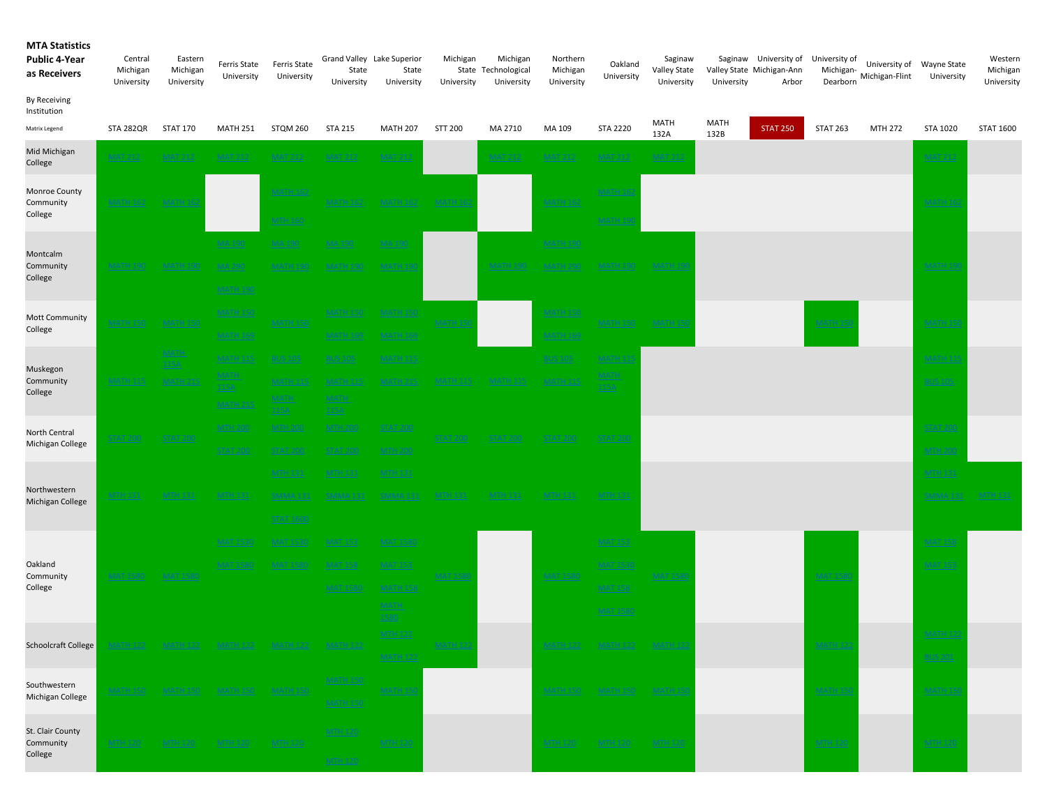## MTA Statistics Public 4-Year as Receivers By Receiving Institution Matrix Legend STA 282QR STAT 170 MATH 251 STQM 260 STA 215 MATH 207 STT 200 MA 2710 MA 109 STA 2220 MATH 132A MATH 132B STAT 250 STAT 263 MTH 272 STA 1020 STAT 1600 Saginaw University of University of Valley State Michigan-Ann Arbor Michigan-University of Dearborn Michigan-Flint University of Wayne State University Western Michigan University Michigan State Technological University Michigan University Northern Michigan University Oakland University Saginaw Valley State University University Central Michigan University Eastern Michigan University Ferris State University Ferris State University Grand Valley Lake Superior State University State University Mid Michigan nd members of MAT 212 MAT 212 MAT 212 MAT 212 MAT 212 MAT 212 MAT 212 MAT 212 MAT 212 MAT 212 MAT 212 MAT 212 MAT 212 MAT 212 MAT 212 MAT 212 MAT 212 MAT 212 MAT 212 MAT 212 MAT 212 MAT 212 MAT 212 MAT 212 MAT 212 MAT 212 MATH 162  $\,$  MATH 162  $\,$  Math  $\,$  Math  $\,$  Math  $\,$  Math  $\,$  Math  $\,$  Math  $\,$  Math  $\,$  Math  $\,$  Math  $\,$  Math  $\,$  Math  $\,$  Math  $\,$  Math  $\,$  Math  $\,$  Math  $\,$  Math  $\,$  Math  $\,$  Math  $\,$  Math  $\,$  Mat MTH 160  $\,$  MATH 190  $\,$ MA 190 MA 190 MA 190 MA 190 MATH 190 MA 290 MATH 190 MATH 190 MATH 190 MATH 290 MATH 150 MATH 150 MATH 150 MATH 150 MATH 169 MATH 169 MATH 169 MATH 169 MATH 115 BUS 105 BUS 105 MATH 115 BUS 105 BUS 105 MATH 115 BUS 105 MATH 115 MATH 115 MATH 115 MATH 115 MATH 11 MTH 200 MTH 200 MTH 200 STAT 200 STAT 200 STAT 200 STAT 200 STAT 200 MTH 200 MTH 200 MTH 131 MTH 131 MTH 131 MTH 131 MTH 132 MTH 132 MTH 132 MTH 132 MTH 132 MTH 132 MTH 132 MTH 132 MTH 132 MTH 13 SMMA 131 SMMA 131 SMMA 131 MTH 131 MTH 131 MTH 131 MTH 131 MTH 131 SMMA 131 SMMA 131 SMMA 131 SMMA 131 SMMA 131 . MAT 1530 MAT 1530 MAT 1530 MAT 1580 MAT 1580 MAT 159 MAT 153 MAT 153 MAT 153 MAT 158 MAT 158 MAT 158 MAT 158 . MAT 1580 MAT 1580 MAT 158 MAT 153 MAT 1530 MAT 1530 MAT 1530 MAT 1530 MAT 1530 MAT 1530 MAT 1530 MAT 1531 MAT 153 MAT 1580 MATH 158 MAT 158 MTH 122  $\,$  MATH 122  $\,$  MATH 122  $\,$  Math 122  $\,$  Math 122  $\,$  Math 122  $\,$  Math 122  $\,$ MATH 122  $\,$  BUS 201  $\,$  BUS 201  $\,$  BUS 201  $\,$  BUS 201  $\,$  BUS 201  $\,$  BUS 201  $\,$  BUS 201  $\,$ St. Clair County MATH 150 MATH 150 MATH 150 MATH 150 MATH 150 MATH 150 Southwestern Michigan College MATH 150 MATH 150 MATH 150 MATH 150 MATH 122 MATH 122 MATH 122 MATH 122 MATH 122 Schoolcraft College MATH 122 MATH 122 MATH 122 MATH 122 Oakland Community College MAT 1580 MAT 1580 MAT 1580 MAT 1580 MAT 1580 Northwestern Michigan College MTH 131 MTH 131 MTH 131 SMMA 131 SMMA 131 MMA 131 MTH 131 North Central Michigan College STAT 200 STAT 200 STAT 200 STAT 200 STAT 200 STAT 200 Muskegon Community College MATH 150 MATH 150 MATH 150 Mott Community Not college MATH 150 MATH 150 MATH 150 MATH 150 MATH 150 Montcalm Community College .<br>MAT<u>H 190</u> MATH 190 MA 290 MATH 190 MATH 190 MATH 190 MATH 190 MATH 190 MATH 290 <u>MATH 190 MATH 190</u> Monroe County Community College MATH 162 MATH 162 MATH 162 MATH 162 MATH 162 MATH 162

Community College

MTH 120 MTH 120 MTH 120 MTH 120 MTH 120